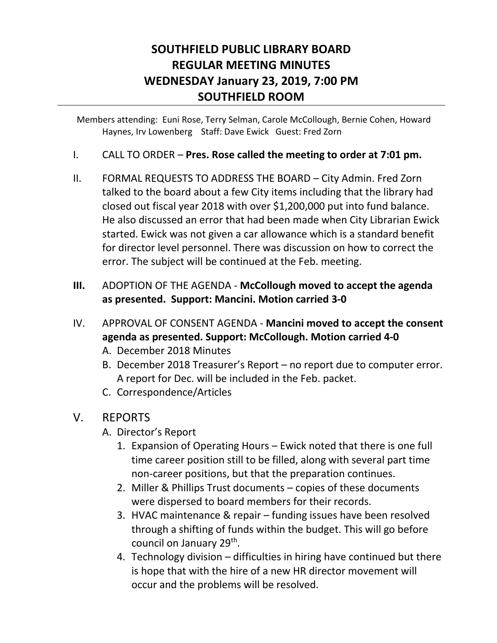## **SOUTHFIELD PUBLIC LIBRARY BOARD REGULAR MEETING MINUTES WEDNESDAY January 23, 2019, 7:00 PM SOUTHFIELD ROOM**

Members attending: Euni Rose, Terry Selman, Carole McCollough, Bernie Cohen, Howard Haynes, Irv Lowenberg Staff: Dave Ewick Guest: Fred Zorn

- I. CALL TO ORDER **Pres. Rose called the meeting to order at 7:01 pm.**
- II. FORMAL REQUESTS TO ADDRESS THE BOARD City Admin. Fred Zorn talked to the board about a few City items including that the library had closed out fiscal year 2018 with over \$1,200,000 put into fund balance. He also discussed an error that had been made when City Librarian Ewick started. Ewick was not given a car allowance which is a standard benefit for director level personnel. There was discussion on how to correct the error. The subject will be continued at the Feb. meeting.
- **III.** ADOPTION OF THE AGENDA **McCollough moved to accept the agenda as presented. Support: Mancini. Motion carried 3-0**
- IV. APPROVAL OF CONSENT AGENDA **Mancini moved to accept the consent agenda as presented. Support: McCollough. Motion carried 4-0**
	- A. December 2018 Minutes
	- B. December 2018 Treasurer's Report no report due to computer error. A report for Dec. will be included in the Feb. packet.
	- C. Correspondence/Articles

## V. REPORTS

- A. Director's Report
	- 1. Expansion of Operating Hours Ewick noted that there is one full time career position still to be filled, along with several part time non-career positions, but that the preparation continues.
	- 2. Miller & Phillips Trust documents copies of these documents were dispersed to board members for their records.
	- 3. HVAC maintenance & repair funding issues have been resolved through a shifting of funds within the budget. This will go before council on January 29<sup>th</sup>.
	- 4. Technology division difficulties in hiring have continued but there is hope that with the hire of a new HR director movement will occur and the problems will be resolved.